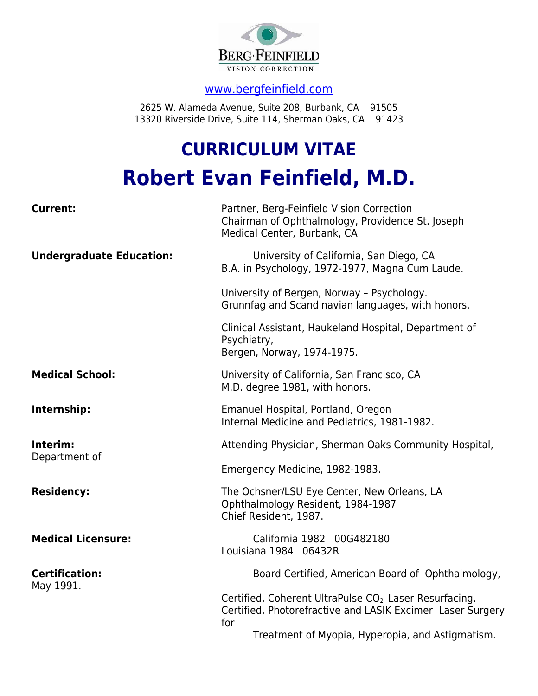

## [www.bergfeinfield.com](http://www.bergfeinfield.com/)

2625 W. Alameda Avenue, Suite 208, Burbank, CA 91505 13320 Riverside Drive, Suite 114, Sherman Oaks, CA 91423

# **CURRICULUM VITAE Robert Evan Feinfield, M.D.**

| <b>Current:</b>                    | Partner, Berg-Feinfield Vision Correction<br>Chairman of Ophthalmology, Providence St. Joseph<br>Medical Center, Burbank, CA           |
|------------------------------------|----------------------------------------------------------------------------------------------------------------------------------------|
| <b>Undergraduate Education:</b>    | University of California, San Diego, CA<br>B.A. in Psychology, 1972-1977, Magna Cum Laude.                                             |
|                                    | University of Bergen, Norway - Psychology.<br>Grunnfag and Scandinavian languages, with honors.                                        |
|                                    | Clinical Assistant, Haukeland Hospital, Department of<br>Psychiatry,<br>Bergen, Norway, 1974-1975.                                     |
| <b>Medical School:</b>             | University of California, San Francisco, CA<br>M.D. degree 1981, with honors.                                                          |
| Internship:                        | Emanuel Hospital, Portland, Oregon<br>Internal Medicine and Pediatrics, 1981-1982.                                                     |
| Interim:<br>Department of          | Attending Physician, Sherman Oaks Community Hospital,                                                                                  |
|                                    | Emergency Medicine, 1982-1983.                                                                                                         |
| <b>Residency:</b>                  | The Ochsner/LSU Eye Center, New Orleans, LA<br>Ophthalmology Resident, 1984-1987<br>Chief Resident, 1987.                              |
| <b>Medical Licensure:</b>          | California 1982 00G482180<br>Louisiana 1984 06432R                                                                                     |
| <b>Certification:</b><br>May 1991. | Board Certified, American Board of Ophthalmology,                                                                                      |
|                                    | Certified, Coherent UltraPulse CO <sub>2</sub> Laser Resurfacing.<br>Certified, Photorefractive and LASIK Excimer Laser Surgery<br>for |
|                                    | Treatment of Myopia, Hyperopia, and Astigmatism.                                                                                       |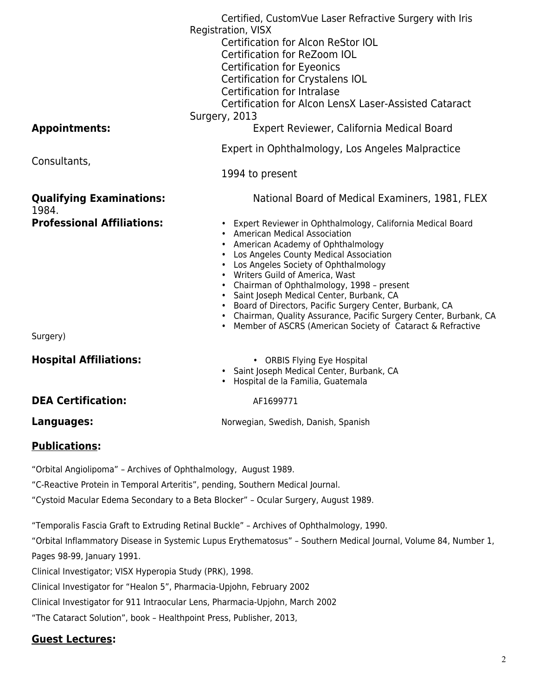|                                                                 | Certified, CustomVue Laser Refractive Surgery with Iris<br>Registration, VISX<br><b>Certification for Alcon ReStor IOL</b><br>Certification for ReZoom IOL<br><b>Certification for Eyeonics</b><br>Certification for Crystalens IOL<br>Certification for Intralase<br>Certification for Alcon LensX Laser-Assisted Cataract<br>Surgery, 2013                                                                                                                                                                                                                  |
|-----------------------------------------------------------------|---------------------------------------------------------------------------------------------------------------------------------------------------------------------------------------------------------------------------------------------------------------------------------------------------------------------------------------------------------------------------------------------------------------------------------------------------------------------------------------------------------------------------------------------------------------|
| <b>Appointments:</b>                                            | Expert Reviewer, California Medical Board                                                                                                                                                                                                                                                                                                                                                                                                                                                                                                                     |
| Consultants,                                                    | Expert in Ophthalmology, Los Angeles Malpractice                                                                                                                                                                                                                                                                                                                                                                                                                                                                                                              |
|                                                                 | 1994 to present                                                                                                                                                                                                                                                                                                                                                                                                                                                                                                                                               |
| <b>Qualifying Examinations:</b><br>1984.                        | National Board of Medical Examiners, 1981, FLEX                                                                                                                                                                                                                                                                                                                                                                                                                                                                                                               |
| <b>Professional Affiliations:</b>                               | • Expert Reviewer in Ophthalmology, California Medical Board<br>• American Medical Association<br>• American Academy of Ophthalmology<br>• Los Angeles County Medical Association<br>• Los Angeles Society of Ophthalmology<br>• Writers Guild of America, Wast<br>• Chairman of Ophthalmology, 1998 - present<br>· Saint Joseph Medical Center, Burbank, CA<br>• Board of Directors, Pacific Surgery Center, Burbank, CA<br>• Chairman, Quality Assurance, Pacific Surgery Center, Burbank, CA<br>Member of ASCRS (American Society of Cataract & Refractive |
| Surgery)                                                        |                                                                                                                                                                                                                                                                                                                                                                                                                                                                                                                                                               |
| <b>Hospital Affiliations:</b>                                   | • ORBIS Flying Eye Hospital<br>· Saint Joseph Medical Center, Burbank, CA<br>· Hospital de la Familia, Guatemala                                                                                                                                                                                                                                                                                                                                                                                                                                              |
| <b>DEA Certification:</b>                                       | AF1699771                                                                                                                                                                                                                                                                                                                                                                                                                                                                                                                                                     |
| Languages:                                                      | Norwegian, Swedish, Danish, Spanish                                                                                                                                                                                                                                                                                                                                                                                                                                                                                                                           |
| <b>Publications:</b>                                            |                                                                                                                                                                                                                                                                                                                                                                                                                                                                                                                                                               |
| "Orbital Angiolipoma" - Archives of Ophthalmology, August 1989. | "C-Reactive Protein in Temporal Arteritis", pending, Southern Medical Journal.                                                                                                                                                                                                                                                                                                                                                                                                                                                                                |

"Cystoid Macular Edema Secondary to a Beta Blocker" – Ocular Surgery, August 1989.

"Temporalis Fascia Graft to Extruding Retinal Buckle" – Archives of Ophthalmology, 1990.

"Orbital Inflammatory Disease in Systemic Lupus Erythematosus" – Southern Medical Journal, Volume 84, Number 1, Pages 98-99, January 1991.

Clinical Investigator; VISX Hyperopia Study (PRK), 1998.

Clinical Investigator for "Healon 5", Pharmacia-Upjohn, February 2002

Clinical Investigator for 911 Intraocular Lens, Pharmacia-Upjohn, March 2002

"The Cataract Solution", book – Healthpoint Press, Publisher, 2013,

## **Guest Lectures:**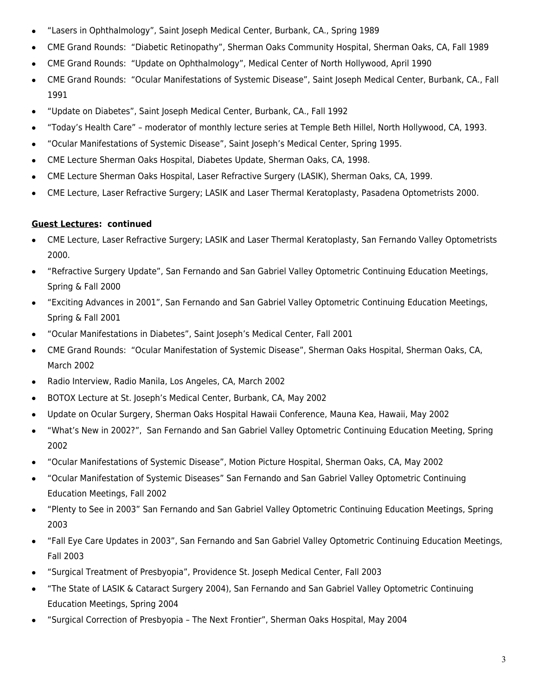- "Lasers in Ophthalmology", Saint Joseph Medical Center, Burbank, CA., Spring 1989
- CME Grand Rounds: "Diabetic Retinopathy", Sherman Oaks Community Hospital, Sherman Oaks, CA, Fall 1989
- CME Grand Rounds: "Update on Ophthalmology", Medical Center of North Hollywood, April 1990
- CME Grand Rounds: "Ocular Manifestations of Systemic Disease", Saint Joseph Medical Center, Burbank, CA., Fall 1991
- "Update on Diabetes", Saint Joseph Medical Center, Burbank, CA., Fall 1992
- "Today's Health Care" moderator of monthly lecture series at Temple Beth Hillel, North Hollywood, CA, 1993.
- "Ocular Manifestations of Systemic Disease", Saint Joseph's Medical Center, Spring 1995.
- CME Lecture Sherman Oaks Hospital, Diabetes Update, Sherman Oaks, CA, 1998.
- CME Lecture Sherman Oaks Hospital, Laser Refractive Surgery (LASIK), Sherman Oaks, CA, 1999.
- CME Lecture, Laser Refractive Surgery; LASIK and Laser Thermal Keratoplasty, Pasadena Optometrists 2000.

### **Guest Lectures: continued**

- CME Lecture, Laser Refractive Surgery; LASIK and Laser Thermal Keratoplasty, San Fernando Valley Optometrists 2000.
- "Refractive Surgery Update", San Fernando and San Gabriel Valley Optometric Continuing Education Meetings, Spring & Fall 2000
- "Exciting Advances in 2001", San Fernando and San Gabriel Valley Optometric Continuing Education Meetings, Spring & Fall 2001
- "Ocular Manifestations in Diabetes", Saint Joseph's Medical Center, Fall 2001
- CME Grand Rounds: "Ocular Manifestation of Systemic Disease", Sherman Oaks Hospital, Sherman Oaks, CA, March 2002
- Radio Interview, Radio Manila, Los Angeles, CA, March 2002
- BOTOX Lecture at St. Joseph's Medical Center, Burbank, CA, May 2002
- Update on Ocular Surgery, Sherman Oaks Hospital Hawaii Conference, Mauna Kea, Hawaii, May 2002
- "What's New in 2002?", San Fernando and San Gabriel Valley Optometric Continuing Education Meeting, Spring 2002
- "Ocular Manifestations of Systemic Disease", Motion Picture Hospital, Sherman Oaks, CA, May 2002
- "Ocular Manifestation of Systemic Diseases" San Fernando and San Gabriel Valley Optometric Continuing Education Meetings, Fall 2002
- "Plenty to See in 2003" San Fernando and San Gabriel Valley Optometric Continuing Education Meetings, Spring 2003
- "Fall Eye Care Updates in 2003", San Fernando and San Gabriel Valley Optometric Continuing Education Meetings, Fall 2003
- "Surgical Treatment of Presbyopia", Providence St. Joseph Medical Center, Fall 2003
- "The State of LASIK & Cataract Surgery 2004), San Fernando and San Gabriel Valley Optometric Continuing Education Meetings, Spring 2004
- "Surgical Correction of Presbyopia The Next Frontier", Sherman Oaks Hospital, May 2004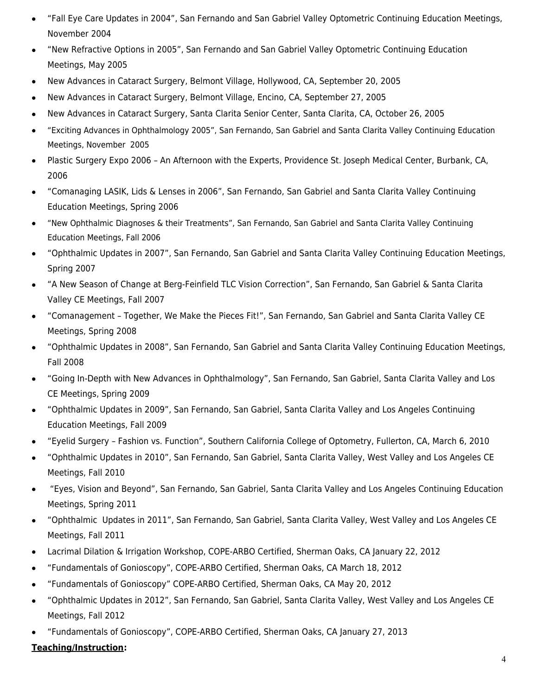- "Fall Eye Care Updates in 2004", San Fernando and San Gabriel Valley Optometric Continuing Education Meetings, November 2004
- "New Refractive Options in 2005", San Fernando and San Gabriel Valley Optometric Continuing Education Meetings, May 2005
- New Advances in Cataract Surgery, Belmont Village, Hollywood, CA, September 20, 2005
- New Advances in Cataract Surgery, Belmont Village, Encino, CA, September 27, 2005
- New Advances in Cataract Surgery, Santa Clarita Senior Center, Santa Clarita, CA, October 26, 2005
- "Exciting Advances in Ophthalmology 2005", San Fernando, San Gabriel and Santa Clarita Valley Continuing Education Meetings, November 2005
- Plastic Surgery Expo 2006 An Afternoon with the Experts, Providence St. Joseph Medical Center, Burbank, CA, 2006
- "Comanaging LASIK, Lids & Lenses in 2006", San Fernando, San Gabriel and Santa Clarita Valley Continuing Education Meetings, Spring 2006
- "New Ophthalmic Diagnoses & their Treatments", San Fernando, San Gabriel and Santa Clarita Valley Continuing Education Meetings, Fall 2006
- "Ophthalmic Updates in 2007", San Fernando, San Gabriel and Santa Clarita Valley Continuing Education Meetings, Spring 2007
- "A New Season of Change at Berg-Feinfield TLC Vision Correction", San Fernando, San Gabriel & Santa Clarita Valley CE Meetings, Fall 2007
- "Comanagement Together, We Make the Pieces Fit!", San Fernando, San Gabriel and Santa Clarita Valley CE Meetings, Spring 2008
- "Ophthalmic Updates in 2008", San Fernando, San Gabriel and Santa Clarita Valley Continuing Education Meetings, Fall 2008
- "Going In-Depth with New Advances in Ophthalmology", San Fernando, San Gabriel, Santa Clarita Valley and Los CE Meetings, Spring 2009
- "Ophthalmic Updates in 2009", San Fernando, San Gabriel, Santa Clarita Valley and Los Angeles Continuing Education Meetings, Fall 2009
- "Eyelid Surgery Fashion vs. Function", Southern California College of Optometry, Fullerton, CA, March 6, 2010
- "Ophthalmic Updates in 2010", San Fernando, San Gabriel, Santa Clarita Valley, West Valley and Los Angeles CE Meetings, Fall 2010
- "Eyes, Vision and Beyond", San Fernando, San Gabriel, Santa Clarita Valley and Los Angeles Continuing Education Meetings, Spring 2011
- "Ophthalmic Updates in 2011", San Fernando, San Gabriel, Santa Clarita Valley, West Valley and Los Angeles CE Meetings, Fall 2011
- Lacrimal Dilation & Irrigation Workshop, COPE-ARBO Certified, Sherman Oaks, CA January 22, 2012
- "Fundamentals of Gonioscopy", COPE-ARBO Certified, Sherman Oaks, CA March 18, 2012
- "Fundamentals of Gonioscopy" COPE-ARBO Certified, Sherman Oaks, CA May 20, 2012
- "Ophthalmic Updates in 2012", San Fernando, San Gabriel, Santa Clarita Valley, West Valley and Los Angeles CE Meetings, Fall 2012
- "Fundamentals of Gonioscopy", COPE-ARBO Certified, Sherman Oaks, CA January 27, 2013

#### **Teaching/Instruction:**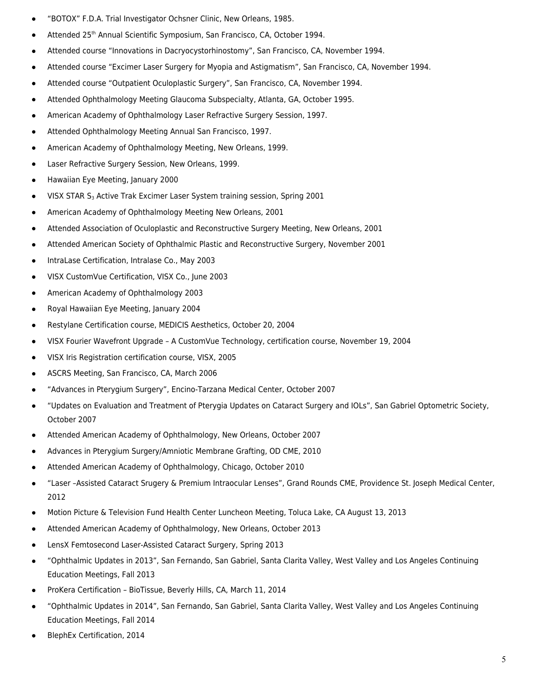- "BOTOX" F.D.A. Trial Investigator Ochsner Clinic, New Orleans, 1985.
- Attended 25<sup>th</sup> Annual Scientific Symposium, San Francisco, CA, October 1994.
- Attended course "Innovations in Dacryocystorhinostomy", San Francisco, CA, November 1994.
- Attended course "Excimer Laser Surgery for Myopia and Astigmatism", San Francisco, CA, November 1994.
- Attended course "Outpatient Oculoplastic Surgery", San Francisco, CA, November 1994.
- Attended Ophthalmology Meeting Glaucoma Subspecialty, Atlanta, GA, October 1995.
- American Academy of Ophthalmology Laser Refractive Surgery Session, 1997.
- Attended Ophthalmology Meeting Annual San Francisco, 1997.
- American Academy of Ophthalmology Meeting, New Orleans, 1999.
- Laser Refractive Surgery Session, New Orleans, 1999.
- Hawaiian Eye Meeting, January 2000
- VISX STAR S<sub>3</sub> Active Trak Excimer Laser System training session, Spring 2001
- American Academy of Ophthalmology Meeting New Orleans, 2001
- Attended Association of Oculoplastic and Reconstructive Surgery Meeting, New Orleans, 2001
- Attended American Society of Ophthalmic Plastic and Reconstructive Surgery, November 2001
- IntraLase Certification, Intralase Co., May 2003
- VISX CustomVue Certification, VISX Co., June 2003
- American Academy of Ophthalmology 2003
- Royal Hawaiian Eye Meeting, January 2004
- Restylane Certification course, MEDICIS Aesthetics, October 20, 2004
- VISX Fourier Wavefront Upgrade A CustomVue Technology, certification course, November 19, 2004
- VISX Iris Registration certification course, VISX, 2005
- ASCRS Meeting, San Francisco, CA, March 2006
- "Advances in Pterygium Surgery", Encino-Tarzana Medical Center, October 2007
- "Updates on Evaluation and Treatment of Pterygia Updates on Cataract Surgery and IOLs", San Gabriel Optometric Society, October 2007
- Attended American Academy of Ophthalmology, New Orleans, October 2007
- Advances in Pterygium Surgery/Amniotic Membrane Grafting, OD CME, 2010
- Attended American Academy of Ophthalmology, Chicago, October 2010
- "Laser –Assisted Cataract Srugery & Premium Intraocular Lenses", Grand Rounds CME, Providence St. Joseph Medical Center, 2012
- Motion Picture & Television Fund Health Center Luncheon Meeting, Toluca Lake, CA August 13, 2013
- Attended American Academy of Ophthalmology, New Orleans, October 2013
- LensX Femtosecond Laser-Assisted Cataract Surgery, Spring 2013
- "Ophthalmic Updates in 2013", San Fernando, San Gabriel, Santa Clarita Valley, West Valley and Los Angeles Continuing Education Meetings, Fall 2013
- ProKera Certification BioTissue, Beverly Hills, CA, March 11, 2014
- "Ophthalmic Updates in 2014", San Fernando, San Gabriel, Santa Clarita Valley, West Valley and Los Angeles Continuing Education Meetings, Fall 2014
- BlephEx Certification, 2014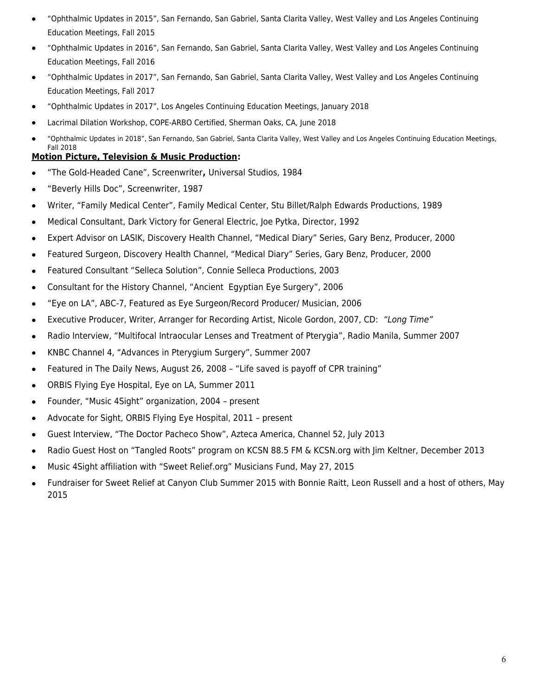- "Ophthalmic Updates in 2015", San Fernando, San Gabriel, Santa Clarita Valley, West Valley and Los Angeles Continuing Education Meetings, Fall 2015
- "Ophthalmic Updates in 2016", San Fernando, San Gabriel, Santa Clarita Valley, West Valley and Los Angeles Continuing Education Meetings, Fall 2016
- "Ophthalmic Updates in 2017", San Fernando, San Gabriel, Santa Clarita Valley, West Valley and Los Angeles Continuing Education Meetings, Fall 2017
- "Ophthalmic Updates in 2017", Los Angeles Continuing Education Meetings, January 2018
- Lacrimal Dilation Workshop, COPE-ARBO Certified, Sherman Oaks, CA, June 2018
- "Ophthalmic Updates in 2018", San Fernando, San Gabriel, Santa Clarita Valley, West Valley and Los Angeles Continuing Education Meetings, Fall 2018

### **Motion Picture, Television & Music Production:**

- "The Gold-Headed Cane", Screenwriter**,** Universal Studios, 1984
- "Beverly Hills Doc", Screenwriter, 1987
- Writer, "Family Medical Center", Family Medical Center, Stu Billet/Ralph Edwards Productions, 1989
- Medical Consultant, Dark Victory for General Electric, Joe Pytka, Director, 1992
- Expert Advisor on LASIK, Discovery Health Channel, "Medical Diary" Series, Gary Benz, Producer, 2000
- Featured Surgeon, Discovery Health Channel, "Medical Diary" Series, Gary Benz, Producer, 2000
- Featured Consultant "Selleca Solution", Connie Selleca Productions, 2003
- Consultant for the History Channel, "Ancient Egyptian Eye Surgery", 2006
- "Eye on LA", ABC-7, Featured as Eye Surgeon/Record Producer/ Musician, 2006
- Executive Producer, Writer, Arranger for Recording Artist, Nicole Gordon, 2007, CD: "Long Time"
- Radio Interview, "Multifocal Intraocular Lenses and Treatment of Pterygia", Radio Manila, Summer 2007
- KNBC Channel 4, "Advances in Pterygium Surgery", Summer 2007
- Featured in The Daily News, August 26, 2008 "Life saved is payoff of CPR training"
- ORBIS Flying Eye Hospital, Eye on LA, Summer 2011
- Founder, "Music 4Sight" organization, 2004 present
- Advocate for Sight, ORBIS Flying Eye Hospital, 2011 present
- Guest Interview, "The Doctor Pacheco Show", Azteca America, Channel 52, July 2013
- Radio Guest Host on "Tangled Roots" program on KCSN 88.5 FM & KCSN.org with Jim Keltner, December 2013
- Music 4Sight affiliation with "Sweet Relief.org" Musicians Fund, May 27, 2015
- Fundraiser for Sweet Relief at Canyon Club Summer 2015 with Bonnie Raitt, Leon Russell and a host of others, May 2015